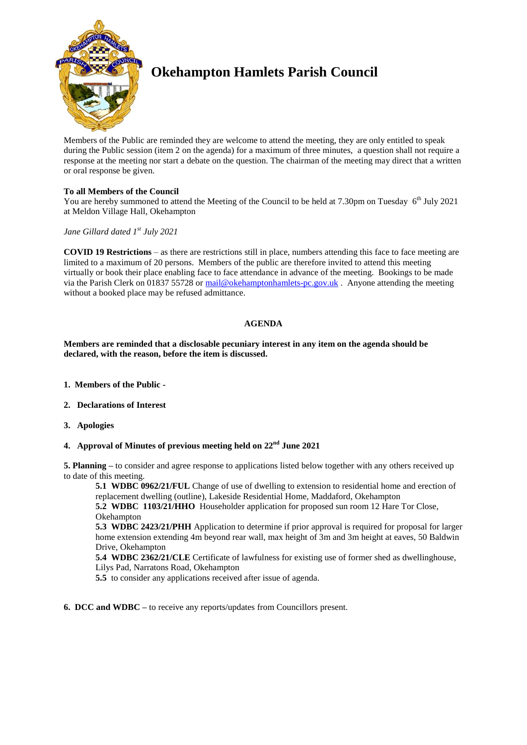

# **Okehampton Hamlets Parish Council**

Members of the Public are reminded they are welcome to attend the meeting, they are only entitled to speak during the Public session (item 2 on the agenda) for a maximum of three minutes, a question shall not require a response at the meeting nor start a debate on the question. The chairman of the meeting may direct that a written or oral response be given.

## **To all Members of the Council**

You are hereby summoned to attend the Meeting of the Council to be held at 7.30pm on Tuesday  $6<sup>th</sup>$  July 2021 at Meldon Village Hall, Okehampton

## *Jane Gillard dated 1 st July 2021*

**COVID 19 Restrictions** – as there are restrictions still in place, numbers attending this face to face meeting are limited to a maximum of 20 persons. Members of the public are therefore invited to attend this meeting virtually or book their place enabling face to face attendance in advance of the meeting. Bookings to be made via the Parish Clerk on 01837 55728 or [mail@okehamptonhamlets-pc.gov.uk](mailto:mail@okehamptonhamlets-pc.gov.uk) . Anyone attending the meeting without a booked place may be refused admittance.

## **AGENDA**

**Members are reminded that a disclosable pecuniary interest in any item on the agenda should be declared, with the reason, before the item is discussed.** 

- **1. Members of the Public -**
- **2. Declarations of Interest**
- **3. Apologies**
- **4. Approval of Minutes of previous meeting held on 22nd June 2021**

**5. Planning –** to consider and agree response to applications listed below together with any others received up to date of this meeting.

**5.1 WDBC 0962/21/FUL** Change of use of dwelling to extension to residential home and erection of replacement dwelling (outline), Lakeside Residential Home, Maddaford, Okehampton

**5.2 WDBC 1103/21/HHO** Householder application for proposed sun room 12 Hare Tor Close, Okehampton

**5.3 WDBC 2423/21/PHH** Application to determine if prior approval is required for proposal for larger home extension extending 4m beyond rear wall, max height of 3m and 3m height at eaves, 50 Baldwin Drive, Okehampton

**5.4 WDBC 2362/21/CLE** Certificate of lawfulness for existing use of former shed as dwellinghouse, Lilys Pad, Narratons Road, Okehampton

**5.5** to consider any applications received after issue of agenda.

**6. DCC and WDBC –** to receive any reports/updates from Councillors present.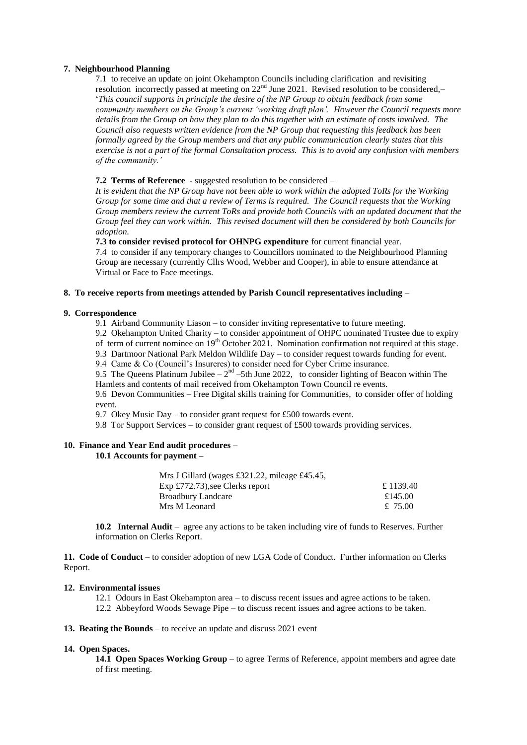## **7. Neighbourhood Planning**

7.1 to receive an update on joint Okehampton Councils including clarification and revisiting resolution incorrectly passed at meeting on  $22<sup>nd</sup>$  June 2021. Revised resolution to be considered,– '*This council supports in principle the desire of the NP Group to obtain feedback from some community members on the Group's current 'working draft plan'. However the Council requests more details from the Group on how they plan to do this together with an estimate of costs involved. The Council also requests written evidence from the NP Group that requesting this feedback has been formally agreed by the Group members and that any public communication clearly states that this exercise is not a part of the formal Consultation process. This is to avoid any confusion with members of the community.'*

## **7.2 Terms of Reference** - suggested resolution to be considered –

*It is evident that the NP Group have not been able to work within the adopted ToRs for the Working Group for some time and that a review of Terms is required. The Council requests that the Working Group members review the current ToRs and provide both Councils with an updated document that the Group feel they can work within. This revised document will then be considered by both Councils for adoption.*

## **7.3 to consider revised protocol for OHNPG expenditure** for current financial year.

7.4 to consider if any temporary changes to Councillors nominated to the Neighbourhood Planning Group are necessary (currently Cllrs Wood, Webber and Cooper), in able to ensure attendance at Virtual or Face to Face meetings.

#### **8. To receive reports from meetings attended by Parish Council representatives including** –

## **9. Correspondence**

9.1 Airband Community Liason – to consider inviting representative to future meeting.

9.2 Okehampton United Charity – to consider appointment of OHPC nominated Trustee due to expiry of term of current nominee on 19<sup>th</sup> October 2021. Nomination confirmation not required at this stage.

9.3 Dartmoor National Park Meldon Wildlife Day – to consider request towards funding for event.

9.4 Came & Co (Council's Insureres) to consider need for Cyber Crime insurance.

9.5 The Queens Platinum Jubilee  $-2^{nd}$  –5th June 2022, to consider lighting of Beacon within The Hamlets and contents of mail received from Okehampton Town Council re events.

9.6 Devon Communities – Free Digital skills training for Communities, to consider offer of holding event.

9.7 Okey Music Day – to consider grant request for £500 towards event.

9.8 Tor Support Services – to consider grant request of £500 towards providing services.

## **10. Finance and Year End audit procedures** –

## **10.1 Accounts for payment –**

| Mrs J Gillard (wages £321.22, mileage £45.45, |          |
|-----------------------------------------------|----------|
| Exp $£772.73$ , see Clerks report             | £1139.40 |
| <b>Broadbury Landcare</b>                     | £145.00  |
| Mrs M Leonard                                 | £ 75.00  |

**10.2 Internal Audit** – agree any actions to be taken including vire of funds to Reserves. Further information on Clerks Report.

**11. Code of Conduct** – to consider adoption of new LGA Code of Conduct. Further information on Clerks Report.

#### **12. Environmental issues**

12.1 Odours in East Okehampton area – to discuss recent issues and agree actions to be taken. 12.2 Abbeyford Woods Sewage Pipe – to discuss recent issues and agree actions to be taken.

## **13. Beating the Bounds** – to receive an update and discuss 2021 event

#### **14. Open Spaces.**

**14.1 Open Spaces Working Group** – to agree Terms of Reference, appoint members and agree date of first meeting.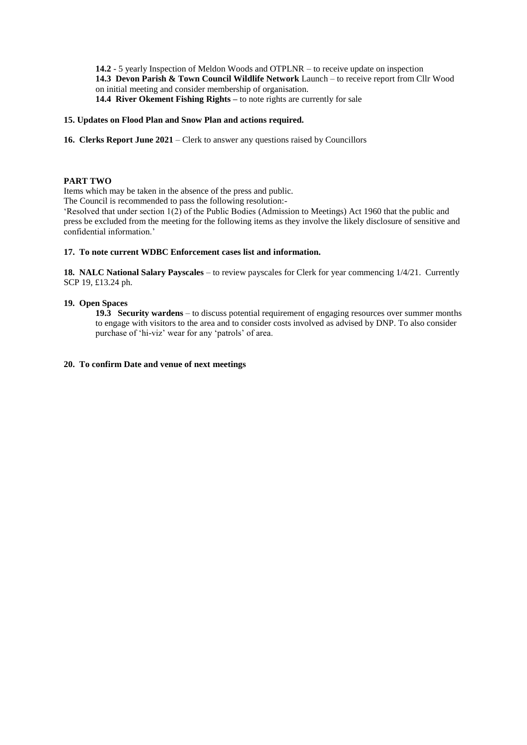**14.2** - 5 yearly Inspection of Meldon Woods and OTPLNR – to receive update on inspection **14.3 Devon Parish & Town Council Wildlife Network** Launch – to receive report from Cllr Wood on initial meeting and consider membership of organisation. **14.4 River Okement Fishing Rights –** to note rights are currently for sale

## **15. Updates on Flood Plan and Snow Plan and actions required.**

**16. Clerks Report June 2021** – Clerk to answer any questions raised by Councillors

## **PART TWO**

Items which may be taken in the absence of the press and public.

The Council is recommended to pass the following resolution:-

'Resolved that under section 1(2) of the Public Bodies (Admission to Meetings) Act 1960 that the public and press be excluded from the meeting for the following items as they involve the likely disclosure of sensitive and confidential information.'

## **17. To note current WDBC Enforcement cases list and information.**

**18. NALC National Salary Payscales** – to review payscales for Clerk for year commencing 1/4/21. Currently SCP 19, £13.24 ph.

## **19. Open Spaces**

**19.3 Security wardens** – to discuss potential requirement of engaging resources over summer months to engage with visitors to the area and to consider costs involved as advised by DNP. To also consider purchase of 'hi-viz' wear for any 'patrols' of area.

#### **20. To confirm Date and venue of next meetings**